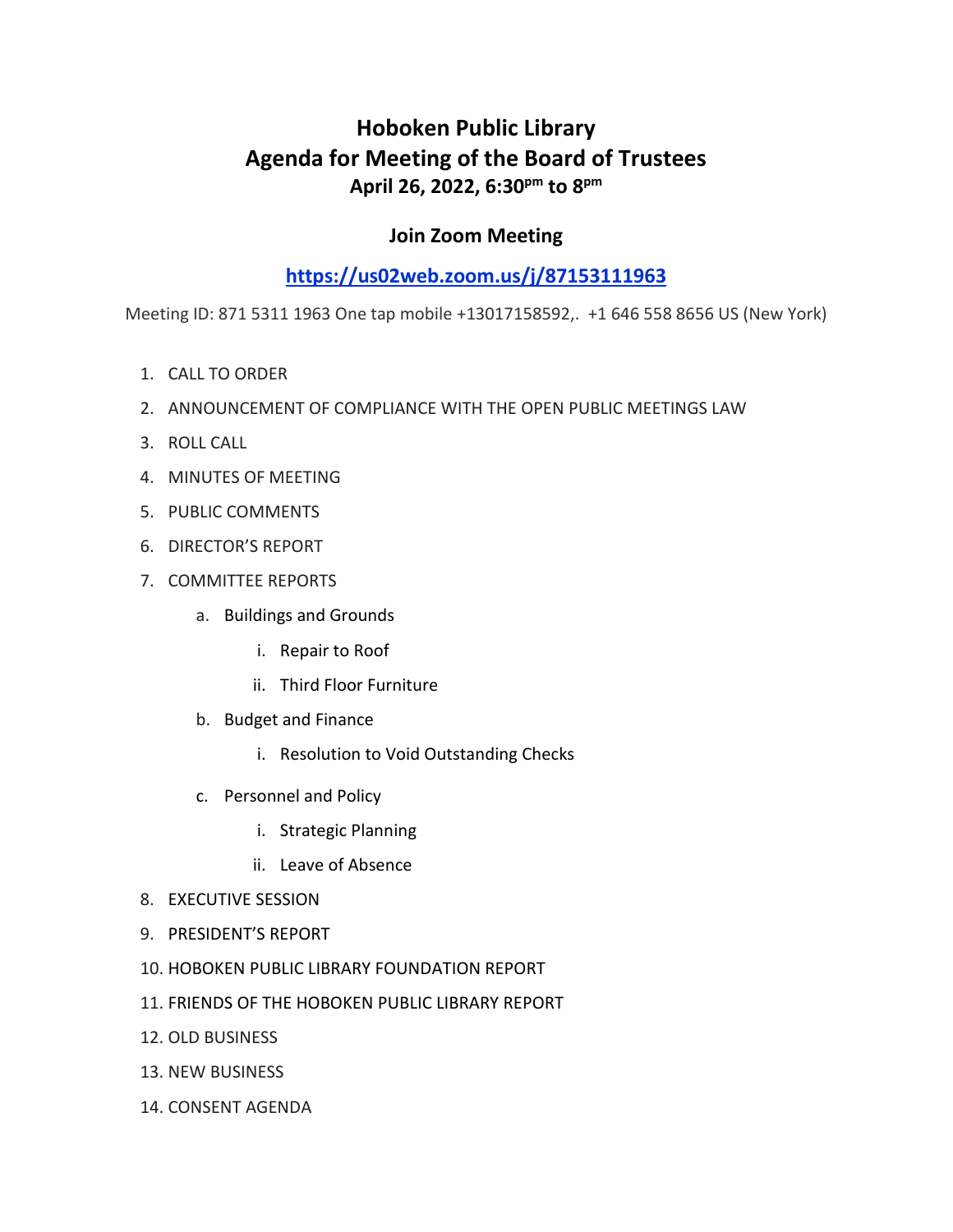# **Hoboken Public Library Agenda for Meeting of the Board of Trustees April 26, 2022, 6:30pm to 8pm**

### **Join Zoom Meeting**

## **<https://us02web.zoom.us/j/87153111963>**

Meeting ID: 871 5311 1963 One tap mobile +13017158592,. +1 646 558 8656 US (New York)

- 1. CALL TO ORDER
- 2. ANNOUNCEMENT OF COMPLIANCE WITH THE OPEN PUBLIC MEETINGS LAW
- 3. ROLL CALL
- 4. MINUTES OF MEETING
- 5. PUBLIC COMMENTS
- 6. DIRECTOR'S REPORT
- 7. COMMITTEE REPORTS
	- a. Buildings and Grounds
		- i. Repair to Roof
		- ii. Third Floor Furniture
	- b. Budget and Finance
		- i. Resolution to Void Outstanding Checks
	- c. Personnel and Policy
		- i. Strategic Planning
		- ii. Leave of Absence
- 8. EXECUTIVE SESSION
- 9. PRESIDENT'S REPORT
- 10. HOBOKEN PUBLIC LIBRARY FOUNDATION REPORT
- 11. FRIENDS OF THE HOBOKEN PUBLIC LIBRARY REPORT
- 12. OLD BUSINESS
- 13. NEW BUSINESS
- 14. CONSENT AGENDA